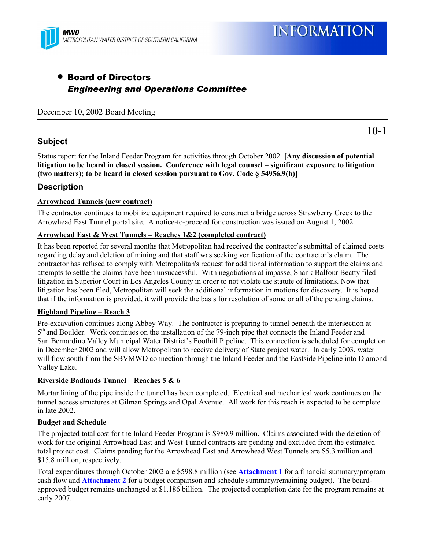

## • Board of Directors *Engineering and Operations Committee*

#### December 10, 2002 Board Meeting

#### **Subject**

**10-1**

Status report for the Inland Feeder Program for activities through October 2002 **[Any discussion of potential** litigation to be heard in closed session. Conference with legal counsel – significant exposure to litigation **(two matters); to be heard in closed session pursuant to Gov. Code ß 54956.9(b)]**

#### **Description**

#### **Arrowhead Tunnels (new contract)**

The contractor continues to mobilize equipment required to construct a bridge across Strawberry Creek to the Arrowhead East Tunnel portal site. A notice-to-proceed for construction was issued on August 1, 2002.

#### **Arrowhead East & West Tunnels - Reaches 1&2 (completed contract)**

It has been reported for several months that Metropolitan had received the contractor's submittal of claimed costs regarding delay and deletion of mining and that staff was seeking verification of the contractor's claim. The contractor has refused to comply with Metropolitan's request for additional information to support the claims and attempts to settle the claims have been unsuccessful. With negotiations at impasse, Shank Balfour Beatty filed litigation in Superior Court in Los Angeles County in order to not violate the statute of limitations. Now that litigation has been filed, Metropolitan will seek the additional information in motions for discovery. It is hoped that if the information is provided, it will provide the basis for resolution of some or all of the pending claims.

#### **Highland Pipeline – Reach 3**

Pre-excavation continues along Abbey Way. The contractor is preparing to tunnel beneath the intersection at  $5<sup>th</sup>$  and Boulder. Work continues on the installation of the 79-inch pipe that connects the Inland Feeder and San Bernardino Valley Municipal Water District's Foothill Pipeline. This connection is scheduled for completion in December 2002 and will allow Metropolitan to receive delivery of State project water. In early 2003, water will flow south from the SBVMWD connection through the Inland Feeder and the Eastside Pipeline into Diamond Valley Lake.

#### **Riverside Badlands Tunnel – Reaches 5 & 6**

Mortar lining of the pipe inside the tunnel has been completed. Electrical and mechanical work continues on the tunnel access structures at Gilman Springs and Opal Avenue. All work for this reach is expected to be complete in late 2002.

#### **Budget and Schedule**

The projected total cost for the Inland Feeder Program is \$980.9 million. Claims associated with the deletion of work for the original Arrowhead East and West Tunnel contracts are pending and excluded from the estimated total project cost. Claims pending for the Arrowhead East and Arrowhead West Tunnels are \$5.3 million and \$15.8 million, respectively.

Total expenditures through October 2002 are \$598.8 million (see **Attachment 1** for a financial summary/program cash flow and **Attachment 2** for a budget comparison and schedule summary/remaining budget). The boardapproved budget remains unchanged at \$1.186 billion. The projected completion date for the program remains at early 2007.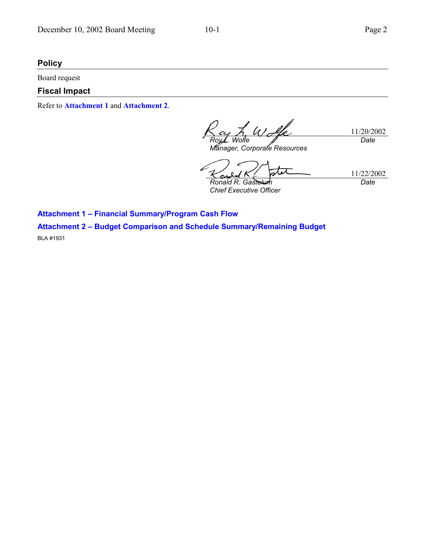## **Policy**

Board request

### **Fiscal Impact**

Refer to **Attachment 1** and **Attachment 2**.

 $(JJ)$ 11/20/2002 *Date Roy L. Wolfe Manager, Corporate Resources*

11/22/2002 *Ronald R. Gastelum Date*

*Chief Executive Officer*

**Attachment 1 - Financial Summary/Program Cash Flow Attachment 2 - Budget Comparison and Schedule Summary/Remaining Budget** 

BLA #1931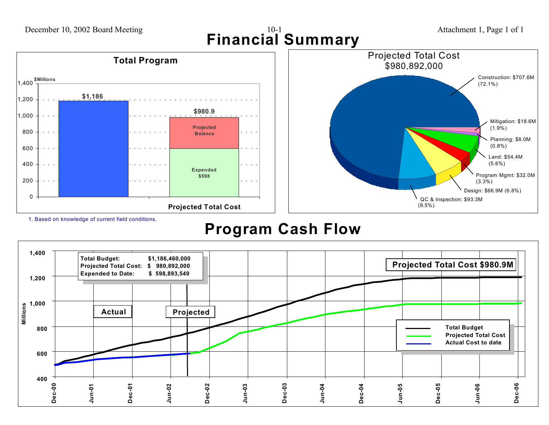

1. Based on knowledge of current field conditions.

# **Program Cash Flow**